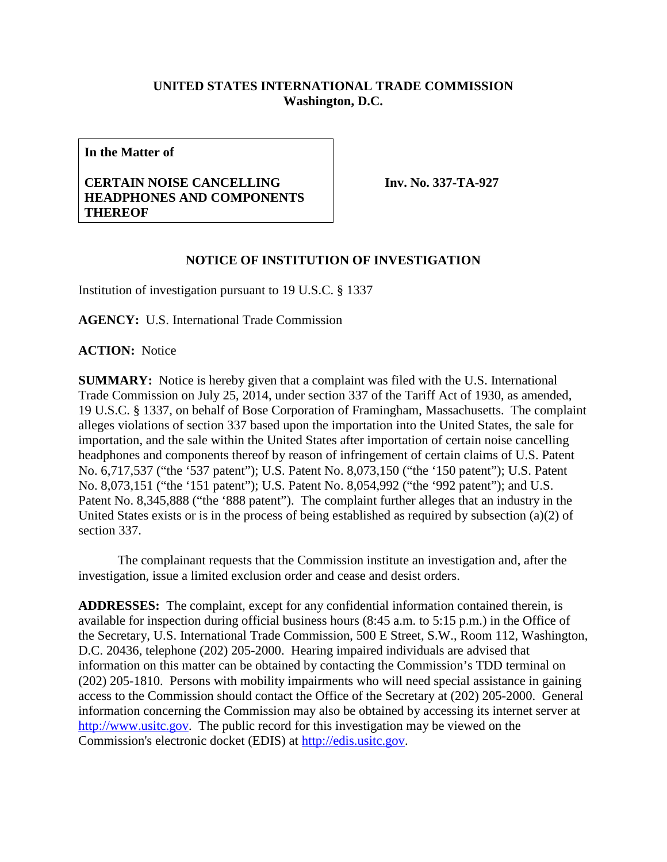## **UNITED STATES INTERNATIONAL TRADE COMMISSION Washington, D.C.**

**In the Matter of**

## **CERTAIN NOISE CANCELLING HEADPHONES AND COMPONENTS THEREOF**

**Inv. No. 337-TA-927**

## **NOTICE OF INSTITUTION OF INVESTIGATION**

Institution of investigation pursuant to 19 U.S.C. § 1337

**AGENCY:** U.S. International Trade Commission

**ACTION:** Notice

**SUMMARY:** Notice is hereby given that a complaint was filed with the U.S. International Trade Commission on July 25, 2014, under section 337 of the Tariff Act of 1930, as amended, 19 U.S.C. § 1337, on behalf of Bose Corporation of Framingham, Massachusetts. The complaint alleges violations of section 337 based upon the importation into the United States, the sale for importation, and the sale within the United States after importation of certain noise cancelling headphones and components thereof by reason of infringement of certain claims of U.S. Patent No. 6,717,537 ("the '537 patent"); U.S. Patent No. 8,073,150 ("the '150 patent"); U.S. Patent No. 8,073,151 ("the '151 patent"); U.S. Patent No. 8,054,992 ("the '992 patent"); and U.S. Patent No. 8,345,888 ("the '888 patent"). The complaint further alleges that an industry in the United States exists or is in the process of being established as required by subsection (a)(2) of section 337.

The complainant requests that the Commission institute an investigation and, after the investigation, issue a limited exclusion order and cease and desist orders.

**ADDRESSES:** The complaint, except for any confidential information contained therein, is available for inspection during official business hours (8:45 a.m. to 5:15 p.m.) in the Office of the Secretary, U.S. International Trade Commission, 500 E Street, S.W., Room 112, Washington, D.C. 20436, telephone (202) 205-2000. Hearing impaired individuals are advised that information on this matter can be obtained by contacting the Commission's TDD terminal on (202) 205-1810. Persons with mobility impairments who will need special assistance in gaining access to the Commission should contact the Office of the Secretary at (202) 205-2000. General information concerning the Commission may also be obtained by accessing its internet server at [http://www.usitc.gov.](http://www.usitc.gov/) The public record for this investigation may be viewed on the Commission's electronic docket (EDIS) at [http://edis.usitc.gov.](http://edis.usitc.gov/)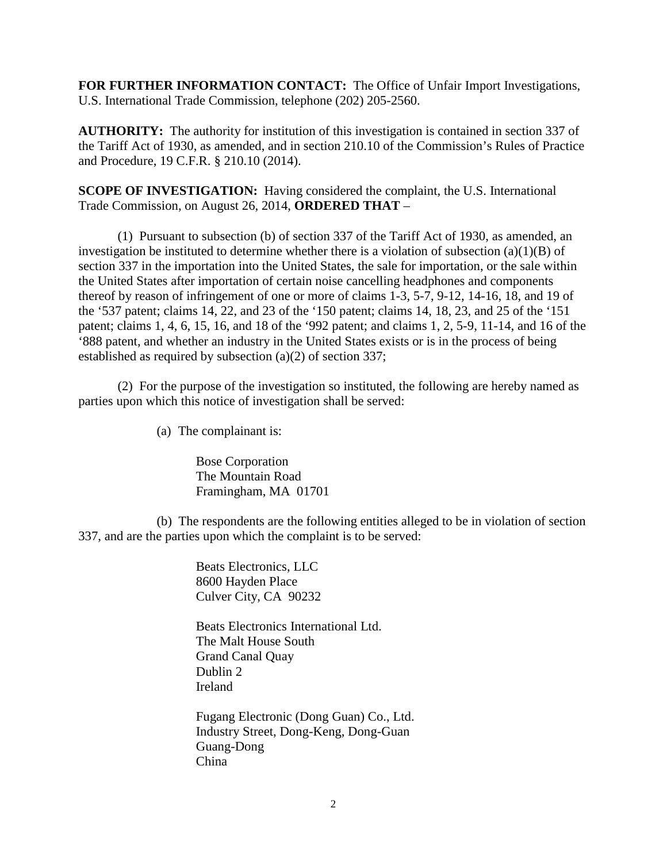**FOR FURTHER INFORMATION CONTACT:** The Office of Unfair Import Investigations, U.S. International Trade Commission, telephone (202) 205-2560.

**AUTHORITY:** The authority for institution of this investigation is contained in section 337 of the Tariff Act of 1930, as amended, and in section 210.10 of the Commission's Rules of Practice and Procedure, 19 C.F.R. § 210.10 (2014).

**SCOPE OF INVESTIGATION:** Having considered the complaint, the U.S. International Trade Commission, on August 26, 2014, **ORDERED THAT** –

(1) Pursuant to subsection (b) of section 337 of the Tariff Act of 1930, as amended, an investigation be instituted to determine whether there is a violation of subsection  $(a)(1)(B)$  of section 337 in the importation into the United States, the sale for importation, or the sale within the United States after importation of certain noise cancelling headphones and components thereof by reason of infringement of one or more of claims 1-3, 5-7, 9-12, 14-16, 18, and 19 of the '537 patent; claims 14, 22, and 23 of the '150 patent; claims 14, 18, 23, and 25 of the '151 patent; claims 1, 4, 6, 15, 16, and 18 of the '992 patent; and claims 1, 2, 5-9, 11-14, and 16 of the '888 patent, and whether an industry in the United States exists or is in the process of being established as required by subsection (a)(2) of section 337;

(2) For the purpose of the investigation so instituted, the following are hereby named as parties upon which this notice of investigation shall be served:

(a) The complainant is:

Bose Corporation The Mountain Road Framingham, MA 01701

(b) The respondents are the following entities alleged to be in violation of section 337, and are the parties upon which the complaint is to be served:

> Beats Electronics, LLC 8600 Hayden Place Culver City, CA 90232

Beats Electronics International Ltd. The Malt House South Grand Canal Quay Dublin 2 Ireland

Fugang Electronic (Dong Guan) Co., Ltd. Industry Street, Dong-Keng, Dong-Guan Guang-Dong China